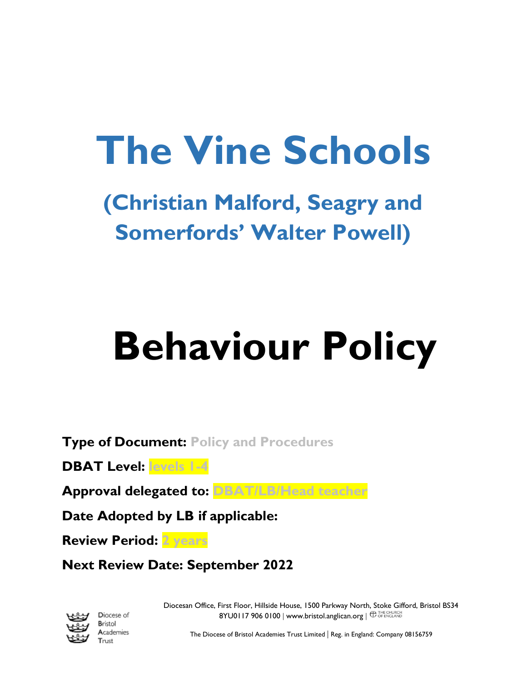## **The Vine Schools**

**(Christian Malford, Seagry and Somerfords' Walter Powell)**

# **Behaviour Policy**

**Type of Document: Policy and Procedures**

**DBAT Level: levels 1-4**

**Approval delegated to: DBAT/LB/Head teacher**

**Date Adopted by LB if applicable:**

**Review Period: 2 years**

**Next Review Date: September 2022**



Diocese of Bristol Academies Trust

Diocesan Office, First Floor, Hillside House, 1500 Parkway North, Stoke Gifford, Bristol BS34  $8YU01179060100$  | [www.bristol.anglican.org](http://www.bristol.anglican.org/) |  $\bigoplus_{\text{OF ENGLAND}}$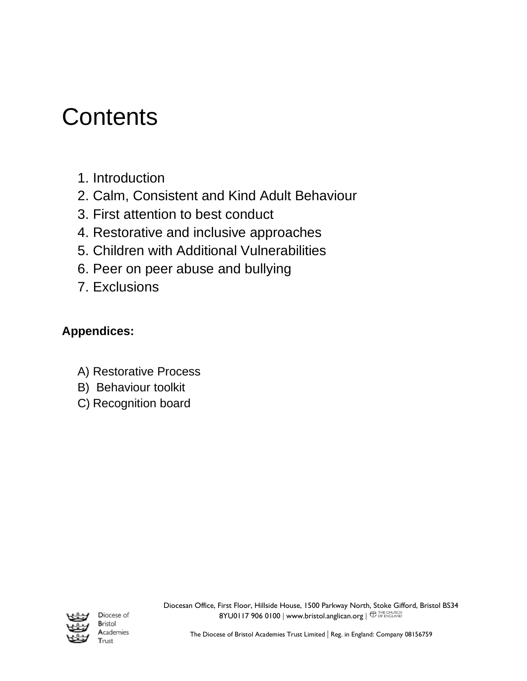### **Contents**

- 1. Introduction
- 2. Calm, Consistent and Kind Adult Behaviour
- 3. First attention to best conduct
- 4. Restorative and inclusive approaches
- 5. Children with Additional Vulnerabilities
- 6. Peer on peer abuse and bullying
- 7. Exclusions

### **Appendices:**

- A) Restorative Process
- B) Behaviour toolkit
- C) Recognition board



Diocese of Bristol Academies Trust

Diocesan Office, First Floor, Hillside House, 1500 Parkway North, Stoke Gifford, Bristol BS34  $8YU01179060100$  | [www.bristol.anglican.org](http://www.bristol.anglican.org/)  $\parallel$   $\bigoplus$  THE CHURCH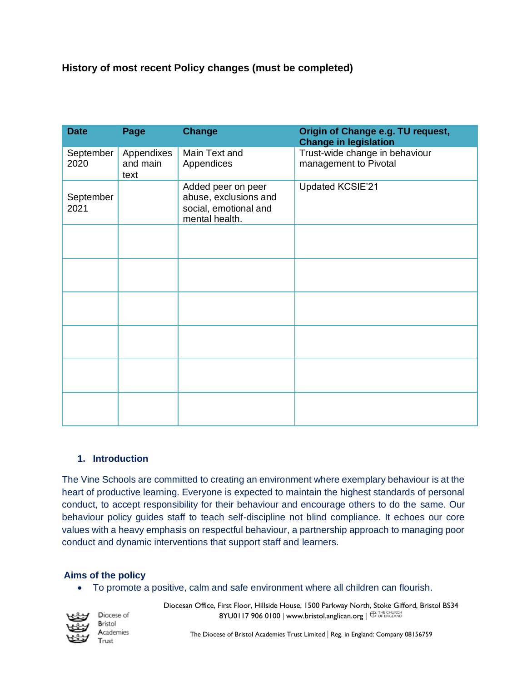#### **History of most recent Policy changes (must be completed)**

| <b>Date</b>       | Page                           | <b>Change</b>                                                                          | Origin of Change e.g. TU request,<br><b>Change in legislation</b> |
|-------------------|--------------------------------|----------------------------------------------------------------------------------------|-------------------------------------------------------------------|
| September<br>2020 | Appendixes<br>and main<br>text | Main Text and<br>Appendices                                                            | Trust-wide change in behaviour<br>management to Pivotal           |
| September<br>2021 |                                | Added peer on peer<br>abuse, exclusions and<br>social, emotional and<br>mental health. | Updated KCSIE'21                                                  |
|                   |                                |                                                                                        |                                                                   |
|                   |                                |                                                                                        |                                                                   |
|                   |                                |                                                                                        |                                                                   |
|                   |                                |                                                                                        |                                                                   |
|                   |                                |                                                                                        |                                                                   |
|                   |                                |                                                                                        |                                                                   |

#### **1. Introduction**

The Vine Schools are committed to creating an environment where exemplary behaviour is at the heart of productive learning. Everyone is expected to maintain the highest standards of personal conduct, to accept responsibility for their behaviour and encourage others to do the same. Our behaviour policy guides staff to teach self-discipline not blind compliance. It echoes our core values with a heavy emphasis on respectful behaviour, a partnership approach to managing poor conduct and dynamic interventions that support staff and learners.

#### **Aims of the policy**

• To promote a positive, calm and safe environment where all children can flourish.



Diocese of Bristol Academies Trust

Diocesan Office, First Floor, Hillside House, 1500 Parkway North, Stoke Gifford, Bristol BS34  $8YU01179060100$  | [www.bristol.anglican.org](http://www.bristol.anglican.org/) |  $\bigoplus_{\text{OF ENGLAND}}$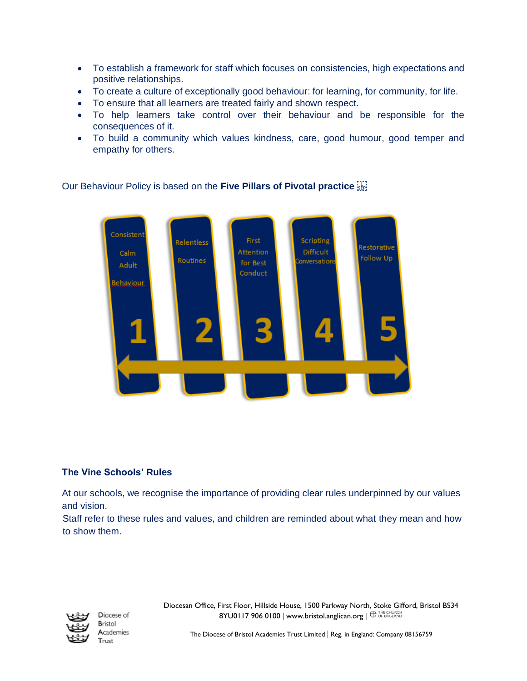- To establish a framework for staff which focuses on consistencies, high expectations and positive relationships.
- To create a culture of exceptionally good behaviour: for learning, for community, for life.
- To ensure that all learners are treated fairly and shown respect.
- To help learners take control over their behaviour and be responsible for the consequences of it.
- To build a community which values kindness, care, good humour, good temper and empathy for others.



#### Our Behaviour Policy is based on the **Five Pillars of Pivotal practice**

#### **The Vine Schools' Rules**

At our schools, we recognise the importance of providing clear rules underpinned by our values and vision.

Staff refer to these rules and values, and children are reminded about what they mean and how to show them.



Diocese of Bristol Academies Trust

Diocesan Office, First Floor, Hillside House, 1500 Parkway North, Stoke Gifford, Bristol BS34  $8YU01179060100$  | [www.bristol.anglican.org](http://www.bristol.anglican.org/) |  $\bigoplus_{\text{OF ENGLAND}}$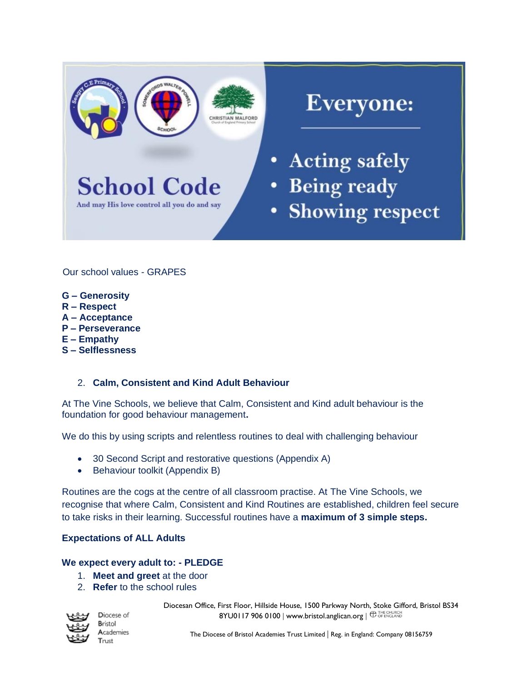

Our school values - GRAPES

- **G – Generosity**
- **R – Respect**
- **A – Acceptance**
- **P – Perseverance**
- **E – Empathy**
- **S – Selflessness**

#### 2. **Calm, Consistent and Kind Adult Behaviour**

At The Vine Schools, we believe that Calm, Consistent and Kind adult behaviour is the foundation for good behaviour management**.**

We do this by using scripts and relentless routines to deal with challenging behaviour

- 30 Second Script and restorative questions (Appendix A)
- Behaviour toolkit (Appendix B)

Routines are the cogs at the centre of all classroom practise. At The Vine Schools, we recognise that where Calm, Consistent and Kind Routines are established, children feel secure to take risks in their learning. Successful routines have a **maximum of 3 simple steps.**

#### **Expectations of ALL Adults**

#### **We expect every adult to: - PLEDGE**

- 1. **Meet and greet** at the door
- 2. **Refer** to the school rules



Diocese of Bristol Academies Trust

Diocesan Office, First Floor, Hillside House, 1500 Parkway North, Stoke Gifford, Bristol BS34  $8YU01179060100$  | [www.bristol.anglican.org](http://www.bristol.anglican.org/) |  $\bigoplus_{\text{OF ENGLAND}}$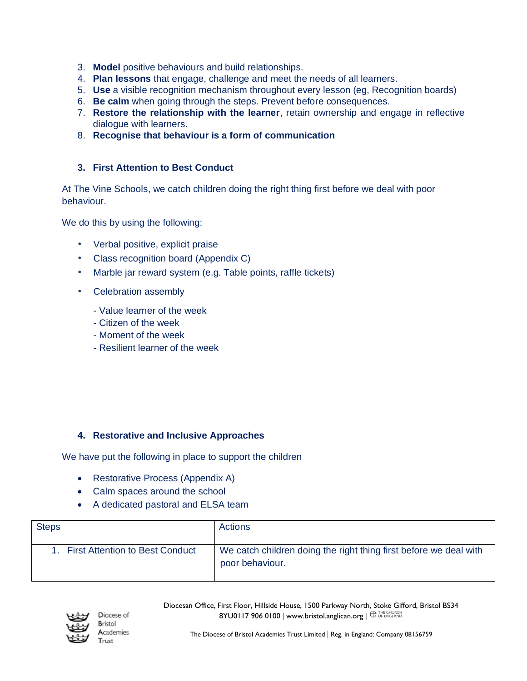- 3. **Model** positive behaviours and build relationships.
- 4. **Plan lessons** that engage, challenge and meet the needs of all learners.
- 5. **Use** a visible recognition mechanism throughout every lesson (eg, Recognition boards)
- 6. **Be calm** when going through the steps. Prevent before consequences.
- 7. **Restore the relationship with the learner**, retain ownership and engage in reflective dialogue with learners.
- 8. **Recognise that behaviour is a form of communication**

#### **3. First Attention to Best Conduct**

At The Vine Schools, we catch children doing the right thing first before we deal with poor behaviour.

We do this by using the following:

- Verbal positive, explicit praise
- Class recognition board (Appendix C)
- Marble jar reward system (e.g. Table points, raffle tickets)
- Celebration assembly
	- Value learner of the week
	- Citizen of the week
	- Moment of the week
	- Resilient learner of the week

#### **4. Restorative and Inclusive Approaches**

We have put the following in place to support the children

- Restorative Process (Appendix A)
- Calm spaces around the school
- A dedicated pastoral and ELSA team

| <b>Steps</b>                       | Actions                                                                              |
|------------------------------------|--------------------------------------------------------------------------------------|
| 1. First Attention to Best Conduct | We catch children doing the right thing first before we deal with<br>poor behaviour. |



Diocesan Office, First Floor, Hillside House, 1500 Parkway North, Stoke Gifford, Bristol BS34  $8YU01179060100$  | [www.bristol.anglican.org](http://www.bristol.anglican.org/) |  $\bigoplus_{\text{OF ENCLAND}}$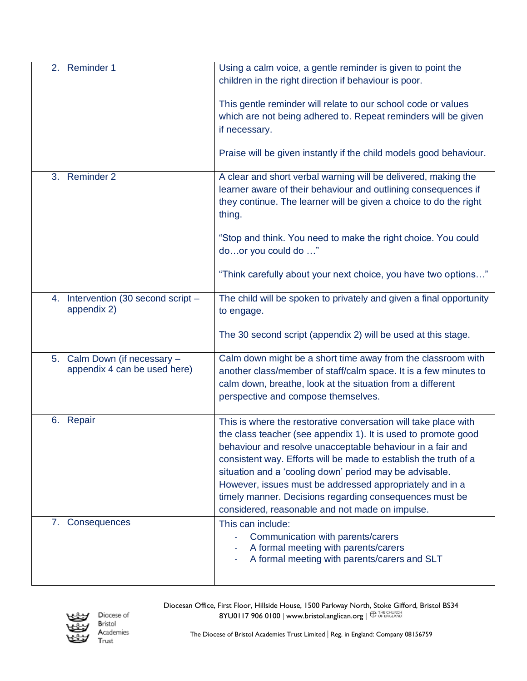| 2. Reminder 1                                                | Using a calm voice, a gentle reminder is given to point the<br>children in the right direction if behaviour is poor.                                                                                                                                                                                                                                                                                                                                                                                     |
|--------------------------------------------------------------|----------------------------------------------------------------------------------------------------------------------------------------------------------------------------------------------------------------------------------------------------------------------------------------------------------------------------------------------------------------------------------------------------------------------------------------------------------------------------------------------------------|
|                                                              | This gentle reminder will relate to our school code or values<br>which are not being adhered to. Repeat reminders will be given<br>if necessary.                                                                                                                                                                                                                                                                                                                                                         |
|                                                              | Praise will be given instantly if the child models good behaviour.                                                                                                                                                                                                                                                                                                                                                                                                                                       |
| 3. Reminder 2                                                | A clear and short verbal warning will be delivered, making the<br>learner aware of their behaviour and outlining consequences if<br>they continue. The learner will be given a choice to do the right<br>thing.                                                                                                                                                                                                                                                                                          |
|                                                              | "Stop and think. You need to make the right choice. You could<br>door you could do "                                                                                                                                                                                                                                                                                                                                                                                                                     |
|                                                              | "Think carefully about your next choice, you have two options"                                                                                                                                                                                                                                                                                                                                                                                                                                           |
| 4. Intervention (30 second script -<br>appendix 2)           | The child will be spoken to privately and given a final opportunity<br>to engage.                                                                                                                                                                                                                                                                                                                                                                                                                        |
|                                                              | The 30 second script (appendix 2) will be used at this stage.                                                                                                                                                                                                                                                                                                                                                                                                                                            |
| 5. Calm Down (if necessary -<br>appendix 4 can be used here) | Calm down might be a short time away from the classroom with<br>another class/member of staff/calm space. It is a few minutes to<br>calm down, breathe, look at the situation from a different<br>perspective and compose themselves.                                                                                                                                                                                                                                                                    |
| 6. Repair                                                    | This is where the restorative conversation will take place with<br>the class teacher (see appendix 1). It is used to promote good<br>behaviour and resolve unacceptable behaviour in a fair and<br>consistent way. Efforts will be made to establish the truth of a<br>situation and a 'cooling down' period may be advisable.<br>However, issues must be addressed appropriately and in a<br>timely manner. Decisions regarding consequences must be<br>considered, reasonable and not made on impulse. |
| 7. Consequences                                              | This can include:<br>Communication with parents/carers<br>A formal meeting with parents/carers<br>A formal meeting with parents/carers and SLT                                                                                                                                                                                                                                                                                                                                                           |



Diocesan Office, First Floor, Hillside House, 1500 Parkway North, Stoke Gifford, Bristol BS34 8YU0117 906 0100 | [www.bristol.anglican.org](http://www.bristol.anglican.org/) |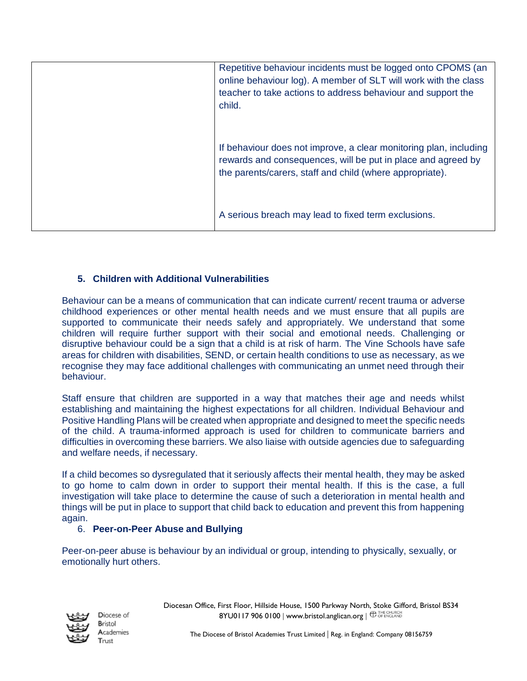| Repetitive behaviour incidents must be logged onto CPOMS (an<br>online behaviour log). A member of SLT will work with the class<br>teacher to take actions to address behaviour and support the<br>child. |
|-----------------------------------------------------------------------------------------------------------------------------------------------------------------------------------------------------------|
| If behaviour does not improve, a clear monitoring plan, including<br>rewards and consequences, will be put in place and agreed by<br>the parents/carers, staff and child (where appropriate).             |
| A serious breach may lead to fixed term exclusions.                                                                                                                                                       |

#### **5. Children with Additional Vulnerabilities**

Behaviour can be a means of communication that can indicate current/ recent trauma or adverse childhood experiences or other mental health needs and we must ensure that all pupils are supported to communicate their needs safely and appropriately. We understand that some children will require further support with their social and emotional needs. Challenging or disruptive behaviour could be a sign that a child is at risk of harm. The Vine Schools have safe areas for children with disabilities, SEND, or certain health conditions to use as necessary, as we recognise they may face additional challenges with communicating an unmet need through their behaviour.

Staff ensure that children are supported in a way that matches their age and needs whilst establishing and maintaining the highest expectations for all children. Individual Behaviour and Positive Handling Plans will be created when appropriate and designed to meet the specific needs of the child. A trauma-informed approach is used for children to communicate barriers and difficulties in overcoming these barriers. We also liaise with outside agencies due to safeguarding and welfare needs, if necessary.

If a child becomes so dysregulated that it seriously affects their mental health, they may be asked to go home to calm down in order to support their mental health. If this is the case, a full investigation will take place to determine the cause of such a deterioration in mental health and things will be put in place to support that child back to education and prevent this from happening again.

#### 6. **Peer-on-Peer Abuse and Bullying**

Peer-on-peer abuse is behaviour by an individual or group, intending to physically, sexually, or emotionally hurt others.

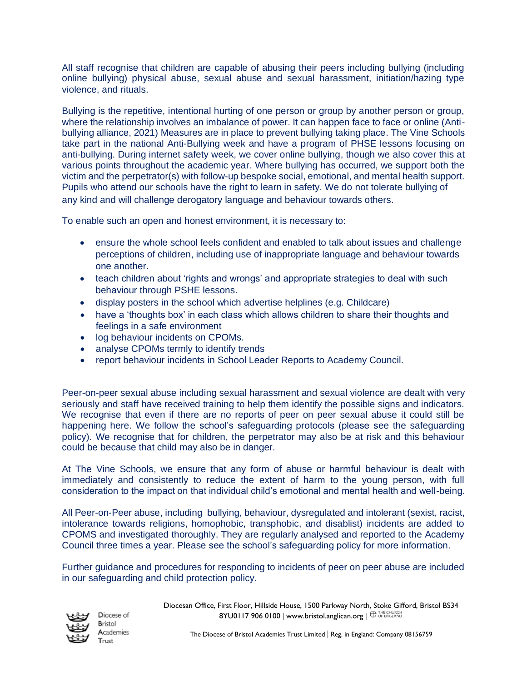All staff recognise that children are capable of abusing their peers including bullying (including online bullying) physical abuse, sexual abuse and sexual harassment, initiation/hazing type violence, and rituals.

Bullying is the repetitive, intentional hurting of one person or group by another person or group, where the relationship involves an imbalance of power. It can happen face to face or online (Antibullying alliance, 2021) Measures are in place to prevent bullying taking place. The Vine Schools take part in the national Anti-Bullying week and have a program of PHSE lessons focusing on anti-bullying. During internet safety week, we cover online bullying, though we also cover this at various points throughout the academic year. Where bullying has occurred, we support both the victim and the perpetrator(s) with follow-up bespoke social, emotional, and mental health support. Pupils who attend our schools have the right to learn in safety. We do not tolerate bullying of any kind and will challenge derogatory language and behaviour towards others.

To enable such an open and honest environment, it is necessary to:

- ensure the whole school feels confident and enabled to talk about issues and challenge perceptions of children, including use of inappropriate language and behaviour towards one another.
- teach children about 'rights and wrongs' and appropriate strategies to deal with such behaviour through PSHE lessons.
- display posters in the school which advertise helplines (e.g. Childcare)
- have a 'thoughts box' in each class which allows children to share their thoughts and feelings in a safe environment
- log behaviour incidents on CPOMs.
- analyse CPOMs termly to identify trends
- report behaviour incidents in School Leader Reports to Academy Council.

Peer-on-peer sexual abuse including sexual harassment and sexual violence are dealt with very seriously and staff have received training to help them identify the possible signs and indicators. We recognise that even if there are no reports of peer on peer sexual abuse it could still be happening here. We follow the school's safeguarding protocols (please see the safeguarding policy). We recognise that for children, the perpetrator may also be at risk and this behaviour could be because that child may also be in danger.

At The Vine Schools, we ensure that any form of abuse or harmful behaviour is dealt with immediately and consistently to reduce the extent of harm to the young person, with full consideration to the impact on that individual child's emotional and mental health and well-being.

All Peer-on-Peer abuse, including bullying, behaviour, dysregulated and intolerant (sexist, racist, intolerance towards religions, homophobic, transphobic, and disablist) incidents are added to CPOMS and investigated thoroughly. They are regularly analysed and reported to the Academy Council three times a year. Please see the school's safeguarding policy for more information.

Further guidance and procedures for responding to incidents of peer on peer abuse are included in our safeguarding and child protection policy.



Diocese of Bristol Academies Trust

Diocesan Office, First Floor, Hillside House, 1500 Parkway North, Stoke Gifford, Bristol BS34  $8YU01179060100$  | [www.bristol.anglican.org](http://www.bristol.anglican.org/) |  $\bigoplus_{\text{CF ENGLAND}}$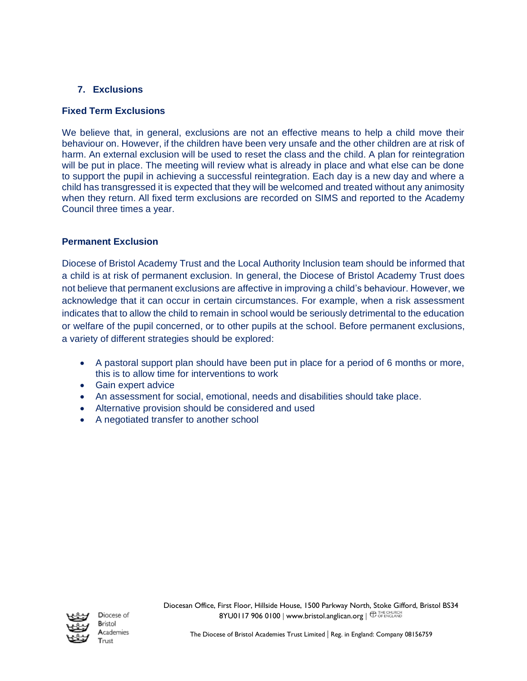#### **7. Exclusions**

#### **Fixed Term Exclusions**

We believe that, in general, exclusions are not an effective means to help a child move their behaviour on. However, if the children have been very unsafe and the other children are at risk of harm. An external exclusion will be used to reset the class and the child. A plan for reintegration will be put in place. The meeting will review what is already in place and what else can be done to support the pupil in achieving a successful reintegration. Each day is a new day and where a child has transgressed it is expected that they will be welcomed and treated without any animosity when they return. All fixed term exclusions are recorded on SIMS and reported to the Academy Council three times a year.

#### **Permanent Exclusion**

Diocese of Bristol Academy Trust and the Local Authority Inclusion team should be informed that a child is at risk of permanent exclusion. In general, the Diocese of Bristol Academy Trust does not believe that permanent exclusions are affective in improving a child's behaviour. However, we acknowledge that it can occur in certain circumstances. For example, when a risk assessment indicates that to allow the child to remain in school would be seriously detrimental to the education or welfare of the pupil concerned, or to other pupils at the school. Before permanent exclusions, a variety of different strategies should be explored:

- A pastoral support plan should have been put in place for a period of 6 months or more, this is to allow time for interventions to work
- Gain expert advice
- An assessment for social, emotional, needs and disabilities should take place.
- Alternative provision should be considered and used
- A negotiated transfer to another school



Diocese of Bristol Academies Trust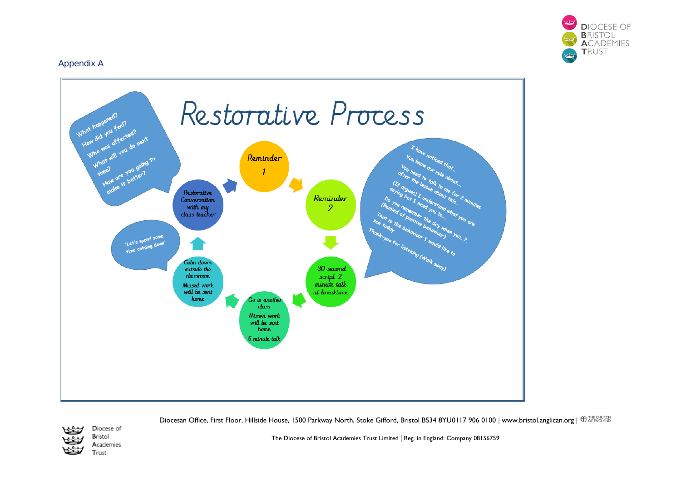

#### Appendix A



Diocesan Office, First Floor, Hillside House, 1500 Parkway North, Stoke Gifford, Bristol BS34 8YU0117 906 0100 | [www.bristol.anglican.org](http://www.bristol.anglican.org/) |  $\oplus_{\text{OFENCLAND}}^{\text{THE CHURCH}}$ 



Diocese of Bristol Academies Trust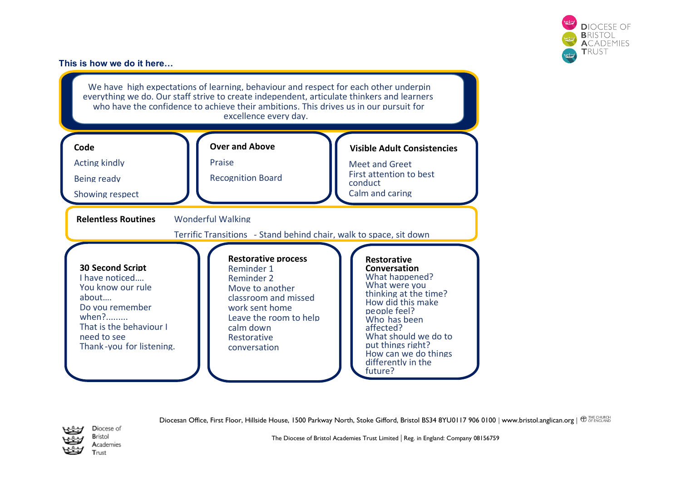

#### **This is how we do it here…**



Diocesan Office, First Floor, Hillside House, 1500 Parkway North, Stoke Gifford, Bristol BS34 8YU0117 906 0100 | [www.bristol.anglican.org](http://www.bristol.anglican.org/) |  $\oplus_{\text{OFENGLAND}}^{\text{THE CHURCH}}$ 



Diocese of **Bristol** Academies Trust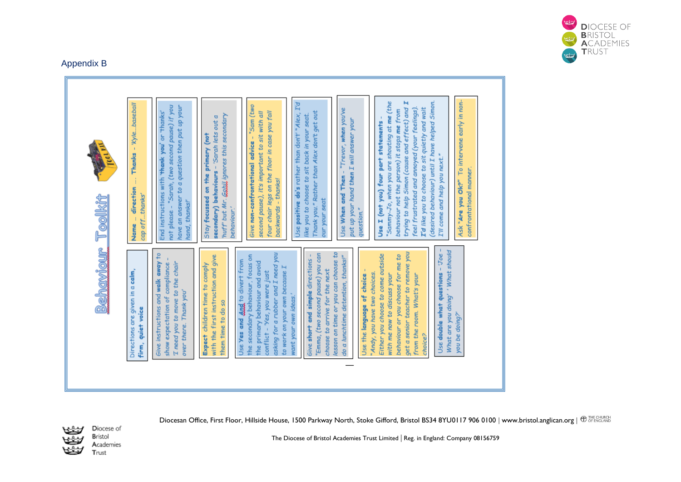#### Appendix B



Diocesan Office, First Floor, Hillside House, 1500 Parkway North, Stoke Gifford, Bristol BS34 8YU0117 906 0100 | [www.bristol.anglican.org](http://www.bristol.anglican.org/) |  $\oplus_{\text{OFENCLAND}}^{\text{THE CHURCH}}$ 



Diocese of Bristol Academies Trust